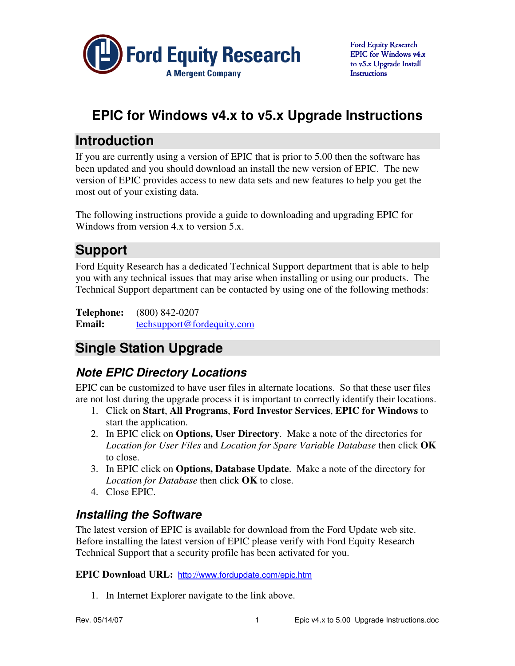

# **EPIC for Windows v4.x to v5.x Upgrade Instructions**

# **Introduction**

If you are currently using a version of EPIC that is prior to 5.00 then the software has been updated and you should download an install the new version of EPIC. The new version of EPIC provides access to new data sets and new features to help you get the most out of your existing data.

The following instructions provide a guide to downloading and upgrading EPIC for Windows from version 4.x to version 5.x.

# **Support**

Ford Equity Research has a dedicated Technical Support department that is able to help you with any technical issues that may arise when installing or using our products. The Technical Support department can be contacted by using one of the following methods:

**Telephone:** (800) 842-0207 **Email:** techsupport@fordequity.com

# **Single Station Upgrade**

## **Note EPIC Directory Locations**

EPIC can be customized to have user files in alternate locations. So that these user files are not lost during the upgrade process it is important to correctly identify their locations.

- 1. Click on **Start**, **All Programs**, **Ford Investor Services**, **EPIC for Windows** to start the application.
- 2. In EPIC click on **Options, User Directory**. Make a note of the directories for *Location for User Files* and *Location for Spare Variable Database* then click **OK** to close.
- 3. In EPIC click on **Options, Database Update**. Make a note of the directory for *Location for Database* then click **OK** to close.
- 4. Close EPIC.

## **Installing the Software**

The latest version of EPIC is available for download from the Ford Update web site. Before installing the latest version of EPIC please verify with Ford Equity Research Technical Support that a security profile has been activated for you.

**EPIC Download URL:** http://www.fordupdate.com/epic.htm

1. In Internet Explorer navigate to the link above.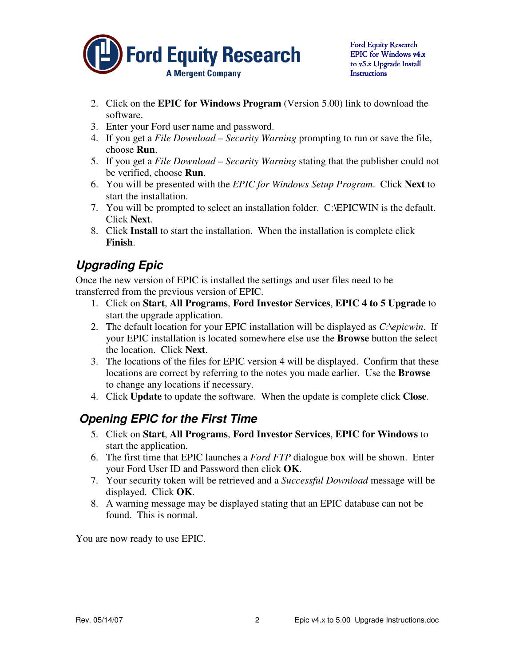

- 2. Click on the **EPIC for Windows Program** (Version 5.00) link to download the software.
- 3. Enter your Ford user name and password.
- 4. If you get a *File Download Security Warning* prompting to run or save the file, choose **Run**.
- 5. If you get a *File Download Security Warning* stating that the publisher could not be verified, choose **Run**.
- 6. You will be presented with the *EPIC for Windows Setup Program*. Click **Next** to start the installation.
- 7. You will be prompted to select an installation folder. C:\EPICWIN is the default. Click **Next**.
- 8. Click **Install** to start the installation. When the installation is complete click **Finish**.

## **Upgrading Epic**

Once the new version of EPIC is installed the settings and user files need to be transferred from the previous version of EPIC.

- 1. Click on **Start**, **All Programs**, **Ford Investor Services**, **EPIC 4 to 5 Upgrade** to start the upgrade application.
- 2. The default location for your EPIC installation will be displayed as *C:\epicwin*. If your EPIC installation is located somewhere else use the **Browse** button the select the location. Click **Next**.
- 3. The locations of the files for EPIC version 4 will be displayed. Confirm that these locations are correct by referring to the notes you made earlier. Use the **Browse** to change any locations if necessary.
- 4. Click **Update** to update the software. When the update is complete click **Close**.

#### **Opening EPIC for the First Time**

- 5. Click on **Start**, **All Programs**, **Ford Investor Services**, **EPIC for Windows** to start the application.
- 6. The first time that EPIC launches a *Ford FTP* dialogue box will be shown. Enter your Ford User ID and Password then click **OK**.
- 7. Your security token will be retrieved and a *Successful Download* message will be displayed. Click **OK**.
- 8. A warning message may be displayed stating that an EPIC database can not be found. This is normal.

You are now ready to use EPIC.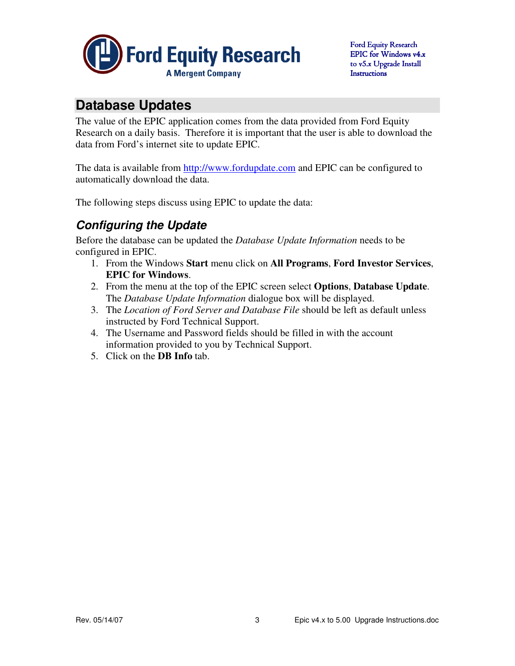

# **Database Updates**

The value of the EPIC application comes from the data provided from Ford Equity Research on a daily basis. Therefore it is important that the user is able to download the data from Ford's internet site to update EPIC.

The data is available from http://www.fordupdate.com and EPIC can be configured to automatically download the data.

The following steps discuss using EPIC to update the data:

## **Configuring the Update**

Before the database can be updated the *Database Update Information* needs to be configured in EPIC.

- 1. From the Windows **Start** menu click on **All Programs**, **Ford Investor Services**, **EPIC for Windows**.
- 2. From the menu at the top of the EPIC screen select **Options**, **Database Update**. The *Database Update Information* dialogue box will be displayed.
- 3. The *Location of Ford Server and Database File* should be left as default unless instructed by Ford Technical Support.
- 4. The Username and Password fields should be filled in with the account information provided to you by Technical Support.
- 5. Click on the **DB Info** tab.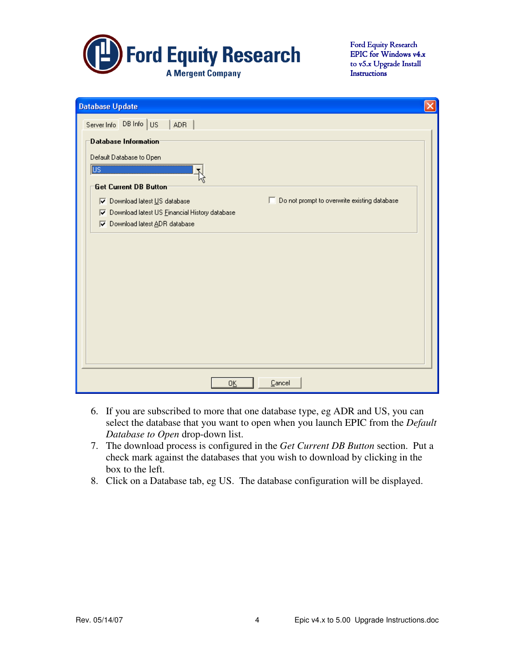

Ford Equity Research EPIC for Windows v4.x to v5.x Upgrade Install **Instructions** 

| <b>Database Update</b>                                                               |  |  |  |
|--------------------------------------------------------------------------------------|--|--|--|
| Server Info DB Info US<br><b>ADR</b>                                                 |  |  |  |
| Database Information                                                                 |  |  |  |
| Default Database to Open                                                             |  |  |  |
| $\overline{\mathbb{U}\mathbb{S}}$                                                    |  |  |  |
| Get Current DB Button                                                                |  |  |  |
| Do not prompt to overwrite existing database<br><b>V</b> Download latest US database |  |  |  |
| 区 Download latest US Einancial History database                                      |  |  |  |
| <b>▽</b> Download latest ADR database                                                |  |  |  |
|                                                                                      |  |  |  |
|                                                                                      |  |  |  |
|                                                                                      |  |  |  |
|                                                                                      |  |  |  |
|                                                                                      |  |  |  |
|                                                                                      |  |  |  |
|                                                                                      |  |  |  |
|                                                                                      |  |  |  |
|                                                                                      |  |  |  |
|                                                                                      |  |  |  |
|                                                                                      |  |  |  |
| Cancel<br>0 <u>K</u>                                                                 |  |  |  |

- 6. If you are subscribed to more that one database type, eg ADR and US, you can select the database that you want to open when you launch EPIC from the *Default Database to Open* drop-down list.
- 7. The download process is configured in the *Get Current DB Button* section. Put a check mark against the databases that you wish to download by clicking in the box to the left.
- 8. Click on a Database tab, eg US. The database configuration will be displayed.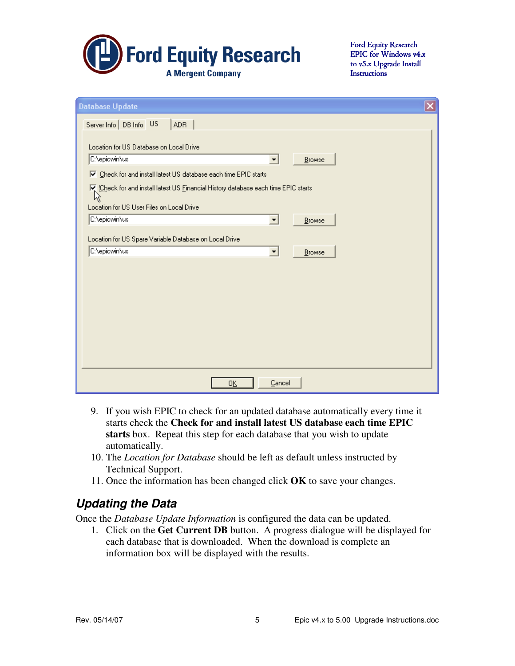

Ford Equity Research EPIC for Windows v4.x to v5.x Upgrade Install **Instructions** 

| <b>Database Update</b>                                                                                      | $\overline{\mathsf{x}}$ |  |  |  |
|-------------------------------------------------------------------------------------------------------------|-------------------------|--|--|--|
| Server Info   DB Info US<br><b>ADR</b>                                                                      |                         |  |  |  |
|                                                                                                             |                         |  |  |  |
| Location for US Database on Local Drive<br>C:\epicwin\us<br>Browse<br>▼                                     |                         |  |  |  |
| Ⅳ Check for and install latest US database each time EPIC starts                                            |                         |  |  |  |
| $\overline{\mathbf{V}}_k$ [Check for and install latest US Einancial History database each time EPIC starts |                         |  |  |  |
| 仪                                                                                                           |                         |  |  |  |
| Location for US User Files on Local Drive<br>C:\epicwin\us<br>Browse<br>$\overline{\phantom{a}}$            |                         |  |  |  |
|                                                                                                             |                         |  |  |  |
| Location for US Spare Variable Database on Local Drive                                                      |                         |  |  |  |
| C:\epicwin\us<br>$\blacktriangledown$<br>Browse                                                             |                         |  |  |  |
|                                                                                                             |                         |  |  |  |
|                                                                                                             |                         |  |  |  |
|                                                                                                             |                         |  |  |  |
|                                                                                                             |                         |  |  |  |
|                                                                                                             |                         |  |  |  |
|                                                                                                             |                         |  |  |  |
|                                                                                                             |                         |  |  |  |
| Cancel<br>0K                                                                                                |                         |  |  |  |

- 9. If you wish EPIC to check for an updated database automatically every time it starts check the **Check for and install latest US database each time EPIC starts** box. Repeat this step for each database that you wish to update automatically.
- 10. The *Location for Database* should be left as default unless instructed by Technical Support.
- 11. Once the information has been changed click **OK** to save your changes.

#### **Updating the Data**

Once the *Database Update Information* is configured the data can be updated.

1. Click on the **Get Current DB** button. A progress dialogue will be displayed for each database that is downloaded. When the download is complete an information box will be displayed with the results.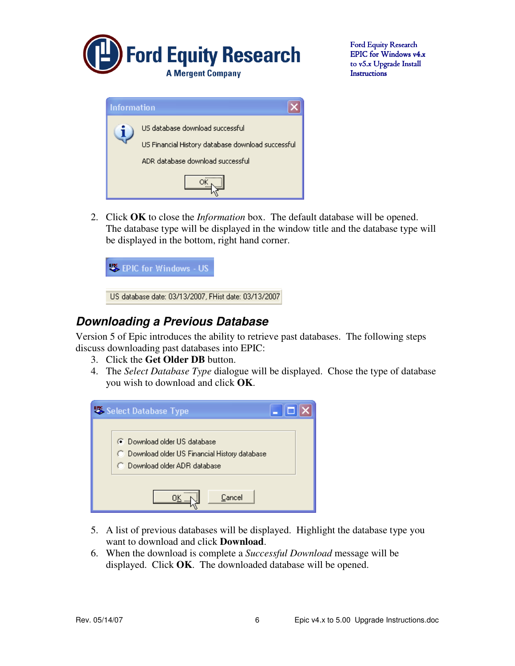

Ford Equity Research EPIC for Windows v4.x to v5.x Upgrade Install **Instructions** 

| <b>Information</b>                                                                   |                                  |  |
|--------------------------------------------------------------------------------------|----------------------------------|--|
| US database download successful<br>US Financial History database download successful |                                  |  |
|                                                                                      | ADR database download successful |  |
|                                                                                      |                                  |  |

2. Click **OK** to close the *Information* box. The default database will be opened. The database type will be displayed in the window title and the database type will be displayed in the bottom, right hand corner.



#### **Downloading a Previous Database**

Version 5 of Epic introduces the ability to retrieve past databases. The following steps discuss downloading past databases into EPIC:

- 3. Click the **Get Older DB** button.
- 4. The *Select Database Type* dialogue will be displayed. Chose the type of database you wish to download and click **OK**.



- 5. A list of previous databases will be displayed. Highlight the database type you want to download and click **Download**.
- 6. When the download is complete a *Successful Download* message will be displayed. Click **OK**. The downloaded database will be opened.